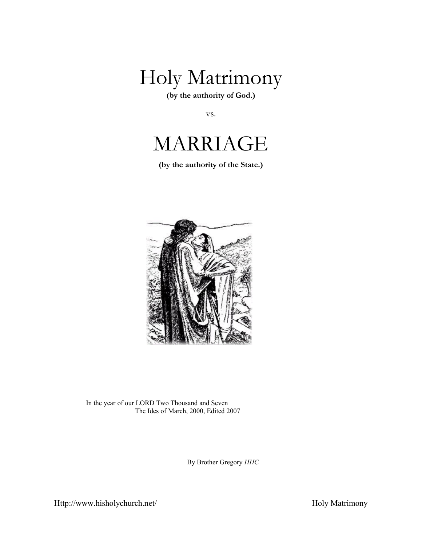

**(by the authority of God.)**

vs.



**(by the authority of the State.)**



In the year of our LORD Two Thousand and Seven The Ides of March, 2000, Edited 2007

By Brother Gregory *HHC*

Http://www.hisholychurch.net/ Holy Matrimony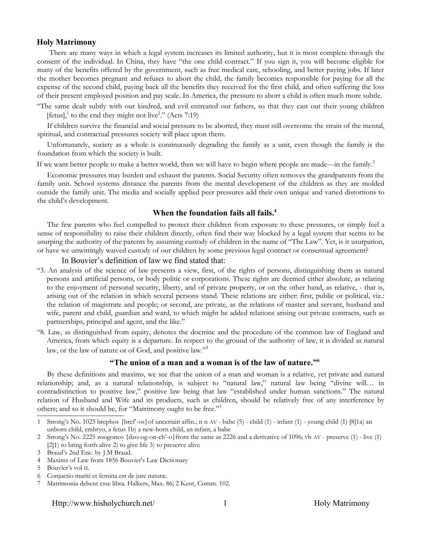#### **Holy Matrimony**

There are many ways in which a legal system increases its limited authority, but it is most complete through the consent of the individual. In China, they have "the one child contract." If you sign it, you will become eligible for many of the benefits offered by the government, such as free medical care, schooling, and better paying jobs. If later the mother becomes pregnant and refuses to abort the child, the family becomes responsible for paying for all the expense of the second child, paying back all the benefits they received for the first child, and often suffering the loss of their present employed position and pay scale. In America, the pressure to abort a child is often much more subtle.

"The same dealt subtly with our kindred, and evil entreated our fathers, so that they cast out their young children [fetus], $\frac{1}{1}$  $\frac{1}{1}$  $\frac{1}{1}$  to the end they might not live<sup>[2](#page-1-1)</sup>." (Acts 7:19)

If children survive the financial and social pressure to be aborted, they must still overcome the strain of the mental, spiritual, and contractual pressures society will place upon them.

Unfortunately, society as a whole is continuously degrading the family as a unit, even though the family is the foundation from which the society is built.

If we want better people to make a better world, then we will have to begin where people are made---in the family.<sup>[3](#page-1-2)</sup>

Economic pressures may burden and exhaust the parents. Social Security often removes the grandparents from the family unit. School systems distance the parents from the mental development of the children as they are molded outside the family unit. The media and socially applied peer pressures add their own unique and varied distortions to the child's development.

#### **When the foundation fails all fails.[4](#page-1-3)**

The few parents who feel compelled to protect their children from exposure to these pressures, or simply feel a sense of responsibility to raise their children directly, often find their way blocked by a legal system that seems to be usurping the authority of the parents by assuming custody of children in the name of "The Law". Yet, is it usurpation, or have we unwittingly waived custody of our children by some previous legal contract or consensual agreement?

#### In Bouvier's definition of law we find stated that:

- "3. An analysis of the science of law presents a view, first, of the rights of persons, distinguishing them as natural persons and artificial persons, or body politic or corporations. These rights are deemed either absolute, as relating to the enjoyment of personal security, liberty, and of private property, or on the other hand, as relative, - that is, arising out of the relation in which several persons stand. These relations are either: first, public or political, viz.: the relation of magistrate and people; or second, are private, as the relations of master and servant, husband and wife, parent and child, guardian and ward, to which might be added relations arising out private contracts, such as partnerships, principal and agent, and the like."
- "8. Law, as distinguished from equity, denotes the doctrine and the procedure of the common law of England and America, from which equity is a departure. In respect to the ground of the authority of law, it is divided as natural law, or the law of nature or of God, and positive law."<sup>[5](#page-1-4)</sup>

#### **"The union of a man and a woman is of the law of nature."[6](#page-1-5)**

By these definitions and maxims, we see that the union of a man and woman is a relative, yet private and natural relationship; and, as a natural relationship, is subject to "natural law," natural law being "divine will… in contradistinction to positive law," positive law being that law "established under human sanctions." The natural relation of Husband and Wife and its products, such as children, should be relatively free of any interference by others; and so it should be, for "Matrimony ought to be free."[7](#page-1-6)

Http://www.hisholychurch.net/ 1 1 Holy Matrimony

<span id="page-1-0"></span><sup>1</sup> Strong's No. 1025 brephos {bref'-os}of uncertain affin.; n n AV - babe (5) - child (1) - infant (1) - young child (1) [8]1a) an unborn child, embryo, a fetus 1b) a new-born child, an infant, a babe

<span id="page-1-1"></span><sup>2</sup> Strong's No. 2225 zoogoneo {dzo-og-on-eh'-o}from the same as 2226 and a derivative of 1096; vb AV - preserve (1) - live (1) [2]1) to bring forth alive 2) to give life 3) to preserve alive

<span id="page-1-2"></span><sup>3</sup> Braud's 2nd Enc. by J.M Braud.

<span id="page-1-3"></span><sup>4</sup> Maxims of Law from 1856 Bouvier's Law Dictionary

<span id="page-1-4"></span><sup>5</sup> Bouvier's vol II.

<span id="page-1-5"></span><sup>6</sup> Conjuctio mariti et femina est de jure naturæ.

<span id="page-1-6"></span><sup>7</sup> Matrimonia debent esse libra. Halkers, Max. 86; 2 Kent, Comm. 102.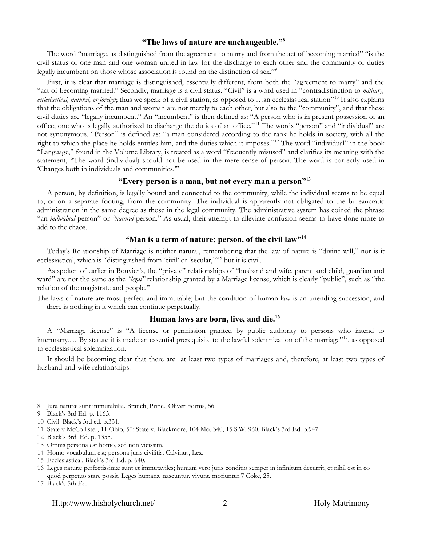#### **"The laws of nature are unchangeable."[8](#page-2-0)**

The word "marriage, as distinguished from the agreement to marry and from the act of becoming married" "is the civil status of one man and one woman united in law for the discharge to each other and the community of duties legally incumbent on those whose association is found on the distinction of sex."[9](#page-2-1)

First, it is clear that marriage is distinguished, essentially different, from both the "agreement to marry" and the "act of becoming married." Secondly, marriage is a civil status. "Civil" is a word used in "contradistinction to *military,* ecclesiastical, natural, or foreign; thus we speak of a civil station, as opposed to ...an ecclesiastical station"<sup>[10](#page-2-2)</sup> It also explains that the obligations of the man and woman are not merely to each other, but also to the "community", and that these civil duties are "legally incumbent." An "incumbent" is then defined as: "A person who is in present possession of an office; one who is legally authorized to discharge the duties of an office."[11](#page-2-3) The words "person" and "individual" are not synonymous. "Person" is defined as: "a man considered according to the rank he holds in society, with all the right to which the place he holds entitles him, and the duties which it imposes."[12](#page-2-4) The word "individual" in the book "Language," found in the Volume Library, is treated as a word "frequently misused" and clarifies its meaning with the statement, "The word (individual) should not be used in the mere sense of person. The word is correctly used in 'Changes both in individuals and communities.'"

#### **"Every person is a man, but not every man a person"**[13](#page-2-5)

A person, by definition, is legally bound and connected to the community, while the individual seems to be equal to, or on a separate footing, from the community. The individual is apparently not obligated to the bureaucratic administration in the same degree as those in the legal community. The administrative system has coined the phrase "an *individual* person" or *"natural* person." As usual, their attempt to alleviate confusion seems to have done more to add to the chaos.

#### "Man is a term of nature; person, of the civil law"<sup>[14](#page-2-6)</sup>

Today's Relationship of Marriage is neither natural, remembering that the law of nature is "divine will," nor is it ecclesiastical, which is "distinguished from 'civil' or 'secular,'"[15](#page-2-7) but it is civil.

As spoken of earlier in Bouvier's, the "private" relationships of "husband and wife, parent and child, guardian and ward" are not the same as the *"legal"* relationship granted by a Marriage license, which is clearly "public", such as "the relation of the magistrate and people."

The laws of nature are most perfect and immutable; but the condition of human law is an unending succession, and there is nothing in it which can continue perpetually.

#### **Human laws are born, live, and die.[16](#page-2-8)**

A "Marriage license" is "A license or permission granted by public authority to persons who intend to intermarry,… By statute it is made an essential prerequisite to the lawful solemnization of the marriage"[17](#page-2-9) , as opposed to ecclesiastical solemnization.

It should be becoming clear that there are at least two types of marriages and, therefore, at least two types of husband-and-wife relationships.

<span id="page-2-0"></span><sup>8</sup> Jura naturæ sunt immutabilia. Branch, Princ.; Oliver Forms, 56.

<span id="page-2-1"></span><sup>9</sup> Black's 3rd Ed. p. 1163.

<span id="page-2-2"></span><sup>10</sup> Civil. Black's 3rd ed. p.331.

<span id="page-2-3"></span><sup>11</sup> State v McCollister, 11 Ohio, 50; State v. Blackmore, 104 Mo. 340, 15 S.W. 960. Black's 3rd Ed. p.947.

<span id="page-2-4"></span><sup>12</sup> Black's 3rd. Ed. p. 1355.

<span id="page-2-5"></span><sup>13</sup> Omnis persona est homo, sed non vicissim.

<span id="page-2-6"></span><sup>14</sup> Homo vocabulum est; persona juris civilitis. Calvinus, Lex.

<span id="page-2-7"></span><sup>15</sup> Ecclesiastical. Black's 3rd Ed. p. 640.

<span id="page-2-8"></span><sup>16</sup> Leges naturæ perfectissimæ sunt et immutaviles; humani vero juris conditio semper in infinitum decurrit, et nihil est in co quod perpetuo stare possit. Leges humanæ nascuntur, vivunt, moriuntur.7 Coke, 25.

<span id="page-2-9"></span><sup>17</sup> Black's 5th Ed.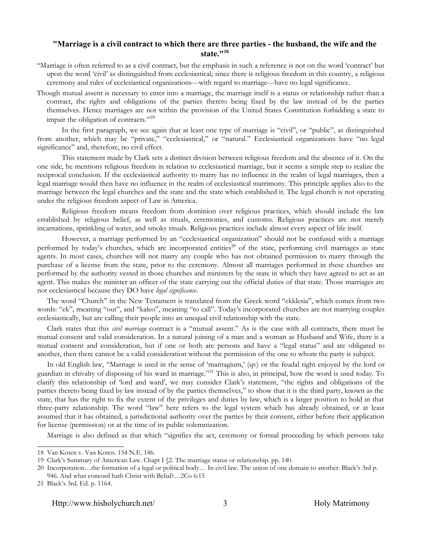#### **"Marriage is a civil contract to which there are three parties - the husband, the wife and the state."[18](#page-3-0)**

- "Marriage is often referred to as a civil contract, but the emphasis in such a reference is not on the word 'contract' but upon the word 'civil' as distinguished from ecclesiastical; since there is religious freedom in this country, a religious ceremony and rules of ecclesiastical organizations---with regard to marriage---have no legal significance.
- Though mutual assent is necessary to enter into a marriage, the marriage itself is a status or relationship rather than a contract, the rights and obligations of the parties thereto being fixed by the law instead of by the parties themselves. Hence marriages are not within the provision of the United States Constitution forbidding a state to impair the obligation of contracts."<sup>[19](#page-3-1)</sup>

In the first paragraph, we see again that at least one type of marriage is "civil", or "public", as distinguished from another, which may be "private," "ecclesiastical," or "natural." Ecclesiastical organizations have "no legal significance" and, therefore, no civil effect.

This statement made by Clark sets a distinct division between religious freedom and the absence of it. On the one side, he mentions religious freedom in relation to ecclesiastical marriage, but it seems a simple step to realize the reciprocal conclusion. If the ecclesiastical authority to marry has no influence in the realm of legal marriages, then a legal marriage would then have no influence in the realm of ecclesiastical matrimony. This principle applies also to the marriage between the legal churches and the state and the state which established it. The legal church is not operating under the religious freedom aspect of Law in America.

Religious freedom means freedom from dominion over religious practices, which should include the law established by religious belief, as well as rituals, ceremonies, and customs. Religious practices are not merely incantations, sprinkling of water, and smoky rituals. Religious practices include almost every aspect of life itself.

However, a marriage performed by an "ecclesiastical organization" should not be confused with a marriage performed by today's churches, which are incorporated entities<sup>[20](#page-3-2)</sup> of the state, performing civil marriages as state agents. In most cases, churches will not marry any couple who has not obtained permission to marry through the purchase of a license from the state, prior to the ceremony. Almost all marriages performed in these churches are performed by the authority vested in those churches and ministers by the state in which they have agreed to act as an agent. This makes the minister an officer of the state carrying out the official duties of that state. Those marriages are not ecclesiastical because they DO have *legal significance*.

The word "Church" in the New Testament is translated from the Greek word "ekklesia", which comes from two words: "ek", meaning "out", and "kaleo", meaning "to call". Today's incorporated churches are not marrying couples ecclesiastically, but are calling their people into an unequal civil relationship with the state.

Clark states that this *civil marriage* contract is a "mutual assent." As is the case with all contracts, there must be mutual consent and valid consideration. In a natural joining of a man and a woman as Husband and Wife, there is a mutual consent and consideration, but if one or both are persons and have a "legal status" and are obligated to another, then there cannot be a valid consideration without the permission of the one to whom the party is subject.

In old English law, "Marriage is used in the sense of 'maritagium,' (qv) or the feudal right enjoyed by the lord or guardian in chivalry of disposing of his ward in marriage."[21](#page-3-3) This is also, in principal, how the word is used today. To clarify this relationship of 'lord and ward', we may consider Clark's statement, "the rights and obligations of the parties thereto being fixed by law instead of by the parties themselves," to show that it is the third party, known as the state, that has the right to fix the extent of the privileges and duties by law, which is a larger position to hold in that three-party relationship. The word "law" here refers to the legal system which has already obtained, or at least assumed that it has obtained, a jurisdictional authority over the parties by their consent, either before their application for license (permission) or at the time of its public solemnization.

Marriage is also defined as that which "signifies the act, ceremony or formal proceeding by which persons take

<span id="page-3-0"></span><sup>18</sup> Van Koten v. Van Koten. 154 N.E. 146.

<span id="page-3-1"></span><sup>19</sup> Clark's Summary of American Law. Chapt I §2. The marriage status or relationship. pp. 140.

<span id="page-3-2"></span><sup>20</sup> Incorporation…the formation of a legal or political body… In civil law. The union of one domain to another. Black's 3rd p. 946. And what concord hath Christ with Belial?…2Co 6:15

<span id="page-3-3"></span><sup>21</sup> Black's 3rd. Ed. p. 1164.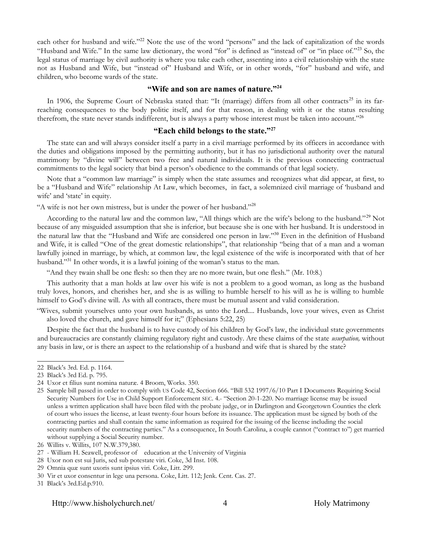each other for husband and wife."<sup>[22](#page-4-0)</sup> Note the use of the word "persons" and the lack of capitalization of the words "Husband and Wife." In the same law dictionary, the word "for" is defined as "instead of" or "in place of."<sup>[23](#page-4-1)</sup> So, the legal status of marriage by civil authority is where you take each other, assenting into a civil relationship with the state not as Husband and Wife, but "instead of" Husband and Wife, or in other words, "for" husband and wife, and children, who become wards of the state.

#### **"Wife and son are names of nature."[24](#page-4-2)**

In 1906, the Supreme Court of Nebraska stated that: "It (marriage) differs from all other contracts<sup>[25](#page-4-3)</sup> in its farreaching consequences to the body politic itself, and for that reason, in dealing with it or the status resulting therefrom, the state never stands indifferent, but is always a party whose interest must be taken into account."<sup>[26](#page-4-4)</sup>

#### **"Each child belongs to the state."[27](#page-4-5)**

The state can and will always consider itself a party in a civil marriage performed by its officers in accordance with the duties and obligations imposed by the permitting authority, but it has no jurisdictional authority over the natural matrimony by "divine will" between two free and natural individuals. It is the previous connecting contractual commitments to the legal society that bind a person's obedience to the commands of that legal society.

Note that a "common law marriage" is simply when the state assumes and recognizes what did appear, at first, to be a "Husband and Wife" relationship At Law, which becomes, in fact, a solemnized civil marriage of 'husband and wife' and 'state' in equity.

"A wife is not her own mistress, but is under the power of her husband."[28](#page-4-6)

According to the natural law and the common law, "All things which are the wife's belong to the husband."[29](#page-4-7) Not because of any misguided assumption that she is inferior, but because she is one with her husband. It is understood in the natural law that the "Husband and Wife are considered one person in law."[30](#page-4-8) Even in the definition of Husband and Wife, it is called "One of the great domestic relationships", that relationship "being that of a man and a woman lawfully joined in marriage, by which, at common law, the legal existence of the wife is incorporated with that of her husband."<sup>[31](#page-4-9)</sup> In other words, it is a lawful joining of the woman's status to the man.

"And they twain shall be one flesh: so then they are no more twain, but one flesh." (Mr. 10:8.)

This authority that a man holds at law over his wife is not a problem to a good woman, as long as the husband truly loves, honors, and cherishes her, and she is as willing to humble herself to his will as he is willing to humble himself to God's divine will. As with all contracts, there must be mutual assent and valid consideration.

"Wives, submit yourselves unto your own husbands, as unto the Lord.... Husbands, love your wives, even as Christ also loved the church, and gave himself for it;" (Ephesians 5:22, 25)

Despite the fact that the husband is to have custody of his children by God's law, the individual state governments and bureaucracies are constantly claiming regulatory right and custody. Are these claims of the state *usurpation,* without any basis in law, or is there an aspect to the relationship of a husband and wife that is shared by the state?

<span id="page-4-0"></span><sup>22</sup> Black's 3rd. Ed. p. 1164.

<span id="page-4-1"></span><sup>23</sup> Black's 3rd Ed. p. 795.

<span id="page-4-2"></span><sup>24</sup> Uxor et filius sunt nomina naturæ. 4 Broom, Works. 350.

<span id="page-4-3"></span><sup>25</sup> Sample bill passed in order to comply with US Code 42, Section 666. "Bill 532 1997/6/10 Part I Documents Requiring Social Security Numbers for Use in Child Support Enforcement SEC. 4.- "Section 20-1-220. No marriage license may be issued unless a written application shall have been filed with the probate judge, or in Darlington and Georgetown Counties the clerk of court who issues the license, at least twenty-four hours before its issuance. The application must be signed by both of the contracting parties and shall contain the same information as required for the issuing of the license including the social security numbers of the contracting parties." As a consequence, In South Carolina, a couple cannot ("contract to") get married without supplying a Social Security number.

<span id="page-4-4"></span><sup>26</sup> Willits v. Willits, 107 N.W.379,380.

<span id="page-4-5"></span><sup>27</sup> - William H. Seawell, professor of education at the University of Virginia

<span id="page-4-6"></span><sup>28</sup> Uxor non est sui Juris, sed sub potestate viri. Coke, 3d Inst. 108.

<span id="page-4-7"></span><sup>29</sup> Omnia quæ sunt uxoris sunt ipsius viri. Coke, Litt. 299.

<span id="page-4-8"></span><sup>30</sup> Vir et uxor consentur in lege una persona. Coke, Litt. 112; Jenk. Cent. Cas. 27.

<span id="page-4-9"></span><sup>31</sup> Black's 3rd.Ed.p.910.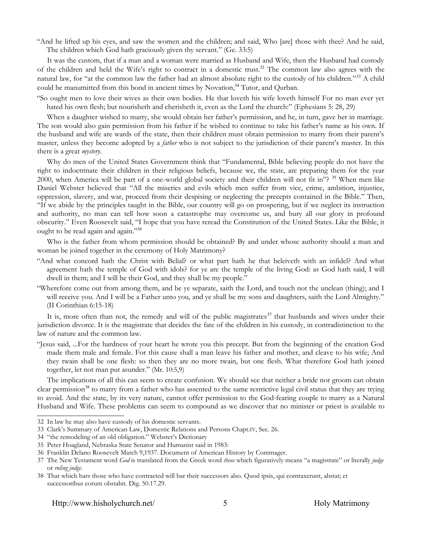"And he lifted up his eyes, and saw the women and the children; and said, Who [are] those with thee? And he said, The children which God hath graciously given thy servant." (Ge. 33:5)

It was the custom, that if a man and a woman were married as Husband and Wife, then the Husband had custody of the children and held the Wife's right to contract in a domestic trust.<sup>[32](#page-5-0)</sup> The common law also agrees with the natural law, for "at the common law the father had an almost absolute right to the custody of his children."<sup>[33](#page-5-1)</sup> A child could be manumitted from this bond in ancient times by Novation,<sup>[34](#page-5-2)</sup> Tutor, and Qurban.

"So ought men to love their wives as their own bodies. He that loveth his wife loveth himself For no man ever yet hated his own flesh; but nourisheth and cherisheth it, even as the Lord the church:" (Ephesians 5: 28, 29)

When a daughter wished to marry, she would obtain her father's permission, and he, in turn, gave her in marriage. The son would also gain permission from his father if he wished to continue to take his father's name as his own. If the husband and wife are wards of the state, then their children must obtain permission to marry from their parent's master, unless they become adopted by a *father* who is not subject to the jurisdiction of their parent's master. In this there is a great *mystery*.

Why do men of the United States Government think that "Fundamental, Bible believing people do not have the right to indoctrinate their children in their religious beliefs, because we, the state, are preparing them for the year 2000, when America will be part of a one-world global society and their children will not fit in"?  $35$  When men like Daniel Webster believed that "All the miseries and evils which men suffer from vice, crime, ambition, injustice, oppression, slavery, and war, proceed from their despising or neglecting the precepts contained in the Bible." Then, "If we abide by the principles taught in the Bible, our country will go on prospering, but if we neglect its instruction and authority, no man can tell how soon a catastrophe may overcome us, and bury all our glory in profound obscurity." Even Roosevelt said, "I hope that you have reread the Constitution of the United States. Like the Bible, it ought to be read again and again."[36](#page-5-4)

Who is the father from whom permission should be obtained? By and under whose authority should a man and woman be joined together in the ceremony of Holy Matrimony?

- "And what concord hath the Christ with Belial? or what part hath he that beleiveth with an infidel? And what agreement hath the temple of God with idols? for ye are the temple of the living God: as God hath said, I will dwell in them; and I will be their God, and they shall be my people."
- "Wherefore come out from among them, and be ye separate, saith the Lord, and touch not the unclean (thing); and I will receive you. And I will be a Father unto you, and ye shall be my sons and daughters, saith the Lord Almighty." (II Corinthian 6:15-18)

It is, more often than not, the remedy and will of the public magistrates<sup>[37](#page-5-5)</sup> that husbands and wives under their jurisdiction divorce. It is the magistrate that decides the fate of the children in his custody, in contradistinction to the law of nature and the common law.

"Jesus said, ...For the hardness of your heart he wrote you this precept. But from the beginning of the creation God made them male and female. For this cause shall a man leave his father and mother, and cleave to his wife; And they twain shall be one flesh: so then they are no more twain, but one flesh. What therefore God hath joined together, let not man put asunder." (Mr. 10:5,9)

The implications of all this can seem to create confusion. We should see that neither a bride nor groom can obtain clear permission<sup>[38](#page-5-6)</sup> to marry from a father who has assented to the same restrictive legal civil status that they are trying to avoid. And the state, by its very nature, cannot offer permission to the God-fearing couple to marry as a Natural Husband and Wife. These problems can seem to compound as we discover that no minister or priest is available to

<span id="page-5-6"></span>38 That which bars those who have contracted will bar their successors also. Quod ipsis, qui contraxerunt, abstat; et successoribus eorum obstabit. Dig. 50.17.29.

<span id="page-5-0"></span><sup>32</sup> In law he may also have custody of his domestic servants.

<span id="page-5-1"></span><sup>33</sup> Clark's Summary of American Law, Domestic Relations and Persons Chapt.IV, Sec. 26.

<span id="page-5-2"></span><sup>34</sup> "the remodeling of an old obligation." Webster's Dictionary

<span id="page-5-3"></span><sup>35</sup> Peter Hoagland, Nebraska State Senator and Humanist said in 1983:

<span id="page-5-4"></span><sup>36</sup> Franklin Delano Roosevelt March 9,1937. Document of American History by Commager.

<span id="page-5-5"></span><sup>37</sup> The New Testament word *God* is translated from the Greek word *theos* which figuratively means "a magistrate" or literally *judge* or *ruling judge*.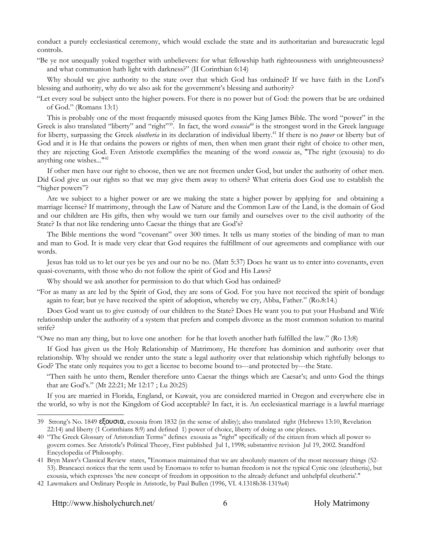conduct a purely ecclesiastical ceremony, which would exclude the state and its authoritarian and bureaucratic legal controls.

"Be ye not unequally yoked together with unbelievers: for what fellowship hath righteousness with unrighteousness? and what communion hath light with darkness?" (II Corinthian 6:14)

Why should we give authority to the state over that which God has ordained? If we have faith in the Lord's blessing and authority, why do we also ask for the government's blessing and authority?

"Let every soul be subject unto the higher powers. For there is no power but of God: the powers that be are ordained of God." (Romans 13:1)

This is probably one of the most frequently misused quotes from the King James Bible. The word "power" in the Greek is also translated "liberty" and "right"<sup>[39](#page-6-0)</sup>. In fact, the word *exousia<sup>[40](#page-6-1)</sup>* is the strongest word in the Greek language for liberty, surpassing the Greek *eleutheria* in its declaration of individual liberty.[41](#page-6-2) If there is no *power* or liberty but of God and it is He that ordains the powers or rights of men, then when men grant their right of choice to other men, they are rejecting God. Even Aristotle exemplifies the meaning of the word *exousia* as, "The right (exousia) to do anything one wishes..."[42](#page-6-3)

If other men have our right to choose, then we are not freemen under God, but under the authority of other men. Did God give us our rights so that we may give them away to others? What criteria does God use to establish the "higher powers"?

Are we subject to a higher power or are we making the state a higher power by applying for and obtaining a marriage license? If matrimony, through the Law of Nature and the Common Law of the Land, is the domain of God and our children are His gifts, then why would we turn our family and ourselves over to the civil authority of the State? Is that not like rendering unto Caesar the things that are God's?

The Bible mentions the word "covenant" over 300 times. It tells us many stories of the binding of man to man and man to God. It is made very clear that God requires the fulfillment of our agreements and compliance with our words.

Jesus has told us to let our yes be yes and our no be no. (Matt 5:37) Does he want us to enter into covenants, even quasi-covenants, with those who do not follow the spirit of God and His Laws?

Why should we ask another for permission to do that which God has ordained?

"For as many as are led by the Spirit of God, they are sons of God. For you have not received the spirit of bondage again to fear; but ye have received the spirit of adoption, whereby we cry, Abba, Father." (Ro.8:14.)

Does God want us to give custody of our children to the State? Does He want you to put your Husband and Wife relationship under the authority of a system that prefers and compels divorce as the most common solution to marital strife?

"Owe no man any thing, but to love one another: for he that loveth another hath fulfilled the law." (Ro 13:8)

If God has given us the Holy Relationship of Matrimony, He therefore has dominion and authority over that relationship. Why should we render unto the state a legal authority over that relationship which rightfully belongs to God? The state only requires you to get a license to become bound to---and protected by---the State.

"Then saith he unto them, Render therefore unto Caesar the things which are Caesar's; and unto God the things that are God's." (Mt 22:21; Mr 12:17 ; Lu 20:25)

If you are married in Florida, England, or Kuwait, you are considered married in Oregon and everywhere else in the world, so why is not the Kingdom of God acceptable? In fact, it is. An ecclesiastical marriage is a lawful marriage

<span id="page-6-0"></span><sup>39</sup> Strong's No. 1849 εξουσια, exousia from 1832 (in the sense of ability); also translated right (Hebrews 13:10, Revelation 22:14) and liberty (1 Corinthians 8:9) and defined 1) power of choice, liberty of doing as one pleases.

<span id="page-6-1"></span><sup>40</sup> "The Greek Glossary of Aristotelian Terms" defines exousia as "right" specifically of the citizen from which all power to govern comes. See Aristotle's Political Theory, First published Jul 1, 1998; substantive revision Jul 19, 2002. Standford Encyclopedia of Philosophy.

<span id="page-6-2"></span><sup>41</sup> Bryn Mawr's Classical Review states, "Enomaos maintained that we are absolutely masters of the most necessary things (52- 53). Brancacci notices that the term used by Enomaos to refer to human freedom is not the typical Cynic one (eleutheria), but exousia, which expresses 'the new concept of freedom in opposition to the already defunct and unhelpful eleutheria'."

<span id="page-6-3"></span><sup>42</sup> Lawmakers and Ordinary People in Aristotle, by Paul Bullen (1996, VI. 4.1318b38-1319a4)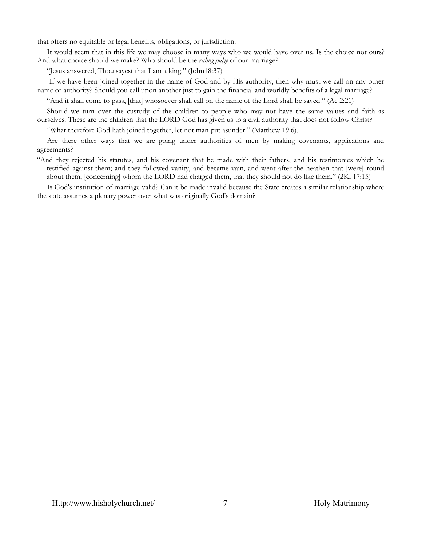that offers no equitable or legal benefits, obligations, or jurisdiction.

It would seem that in this life we may choose in many ways who we would have over us. Is the choice not ours? And what choice should we make? Who should be the *ruling judge* of our marriage?

"Jesus answered, Thou sayest that I am a king." (John18:37)

If we have been joined together in the name of God and by His authority, then why must we call on any other name or authority? Should you call upon another just to gain the financial and worldly benefits of a legal marriage?

"And it shall come to pass, [that] whosoever shall call on the name of the Lord shall be saved." (Ac 2:21)

Should we turn over the custody of the children to people who may not have the same values and faith as ourselves. These are the children that the LORD God has given us to a civil authority that does not follow Christ?

"What therefore God hath joined together, let not man put asunder." (Matthew 19:6).

Are there other ways that we are going under authorities of men by making covenants, applications and agreements?

"And they rejected his statutes, and his covenant that he made with their fathers, and his testimonies which he testified against them; and they followed vanity, and became vain, and went after the heathen that [were] round about them, [concerning] whom the LORD had charged them, that they should not do like them." (2Ki 17:15)

Is God's institution of marriage valid? Can it be made invalid because the State creates a similar relationship where the state assumes a plenary power over what was originally God's domain?